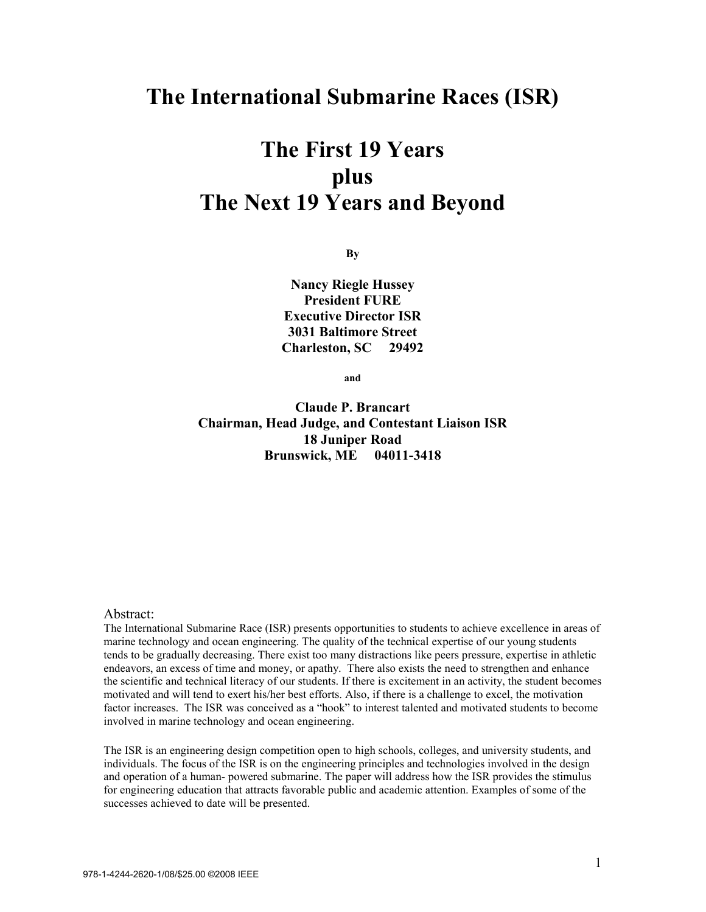## **The International Submarine Races (ISR)**

# **The First 19 Years plus The Next 19 Years and Beyond**

**By** 

**Nancy Riegle Hussey President FURE Executive Director ISR 3031 Baltimore Street Charleston, SC 29492**

**and** 

**Claude P. Brancart Chairman, Head Judge, and Contestant Liaison ISR 18 Juniper Road Brunswick, ME 04011-3418**

#### Abstract:

The International Submarine Race (ISR) presents opportunities to students to achieve excellence in areas of marine technology and ocean engineering. The quality of the technical expertise of our young students tends to be gradually decreasing. There exist too many distractions like peers pressure, expertise in athletic endeavors, an excess of time and money, or apathy. There also exists the need to strengthen and enhance the scientific and technical literacy of our students. If there is excitement in an activity, the student becomes motivated and will tend to exert his/her best efforts. Also, if there is a challenge to excel, the motivation factor increases. The ISR was conceived as a "hook" to interest talented and motivated students to become involved in marine technology and ocean engineering.

The ISR is an engineering design competition open to high schools, colleges, and university students, and individuals. The focus of the ISR is on the engineering principles and technologies involved in the design and operation of a human- powered submarine. The paper will address how the ISR provides the stimulus for engineering education that attracts favorable public and academic attention. Examples of some of the successes achieved to date will be presented.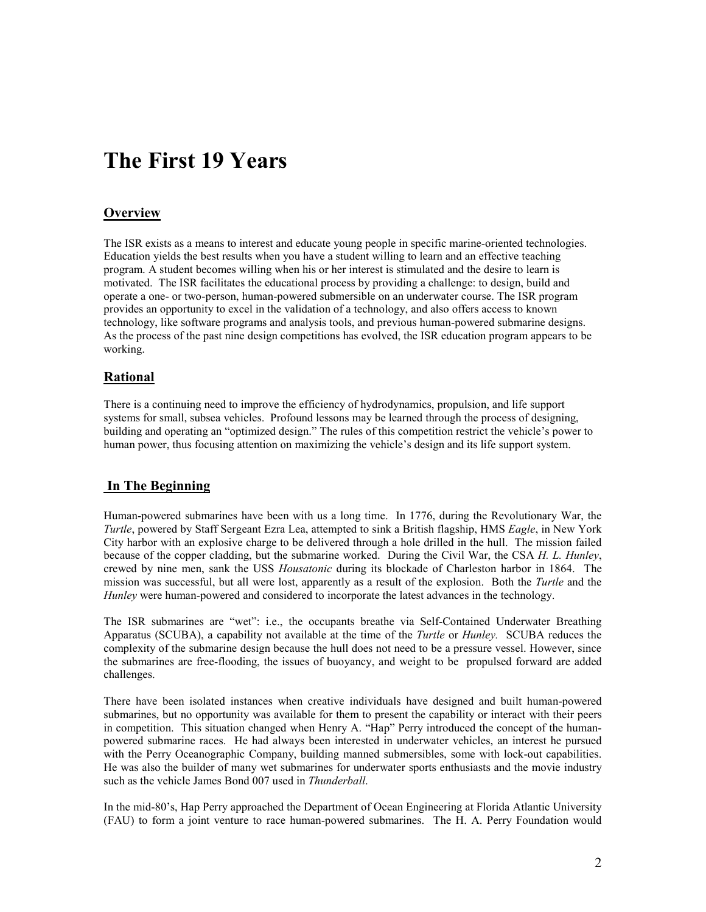# **The First 19 Years**

## **Overview**

The ISR exists as a means to interest and educate young people in specific marine-oriented technologies. Education yields the best results when you have a student willing to learn and an effective teaching program. A student becomes willing when his or her interest is stimulated and the desire to learn is motivated. The ISR facilitates the educational process by providing a challenge: to design, build and operate a one- or two-person, human-powered submersible on an underwater course. The ISR program provides an opportunity to excel in the validation of a technology, and also offers access to known technology, like software programs and analysis tools, and previous human-powered submarine designs. As the process of the past nine design competitions has evolved, the ISR education program appears to be working.

## **Rational**

There is a continuing need to improve the efficiency of hydrodynamics, propulsion, and life support systems for small, subsea vehicles. Profound lessons may be learned through the process of designing, building and operating an "optimized design." The rules of this competition restrict the vehicle's power to human power, thus focusing attention on maximizing the vehicle's design and its life support system.

## **In The Beginning**

Human-powered submarines have been with us a long time. In 1776, during the Revolutionary War, the *Turtle*, powered by Staff Sergeant Ezra Lea, attempted to sink a British flagship, HMS *Eagle*, in New York City harbor with an explosive charge to be delivered through a hole drilled in the hull. The mission failed because of the copper cladding, but the submarine worked. During the Civil War, the CSA *H. L. Hunley*, crewed by nine men, sank the USS *Housatonic* during its blockade of Charleston harbor in 1864. The mission was successful, but all were lost, apparently as a result of the explosion. Both the *Turtle* and the *Hunley* were human-powered and considered to incorporate the latest advances in the technology.

The ISR submarines are "wet": i.e., the occupants breathe via Self-Contained Underwater Breathing Apparatus (SCUBA), a capability not available at the time of the *Turtle* or *Hunley.* SCUBA reduces the complexity of the submarine design because the hull does not need to be a pressure vessel. However, since the submarines are free-flooding, the issues of buoyancy, and weight to be propulsed forward are added challenges.

There have been isolated instances when creative individuals have designed and built human-powered submarines, but no opportunity was available for them to present the capability or interact with their peers in competition. This situation changed when Henry A. "Hap" Perry introduced the concept of the humanpowered submarine races. He had always been interested in underwater vehicles, an interest he pursued with the Perry Oceanographic Company, building manned submersibles, some with lock-out capabilities. He was also the builder of many wet submarines for underwater sports enthusiasts and the movie industry such as the vehicle James Bond 007 used in *Thunderball*.

In the mid-80's, Hap Perry approached the Department of Ocean Engineering at Florida Atlantic University (FAU) to form a joint venture to race human-powered submarines. The H. A. Perry Foundation would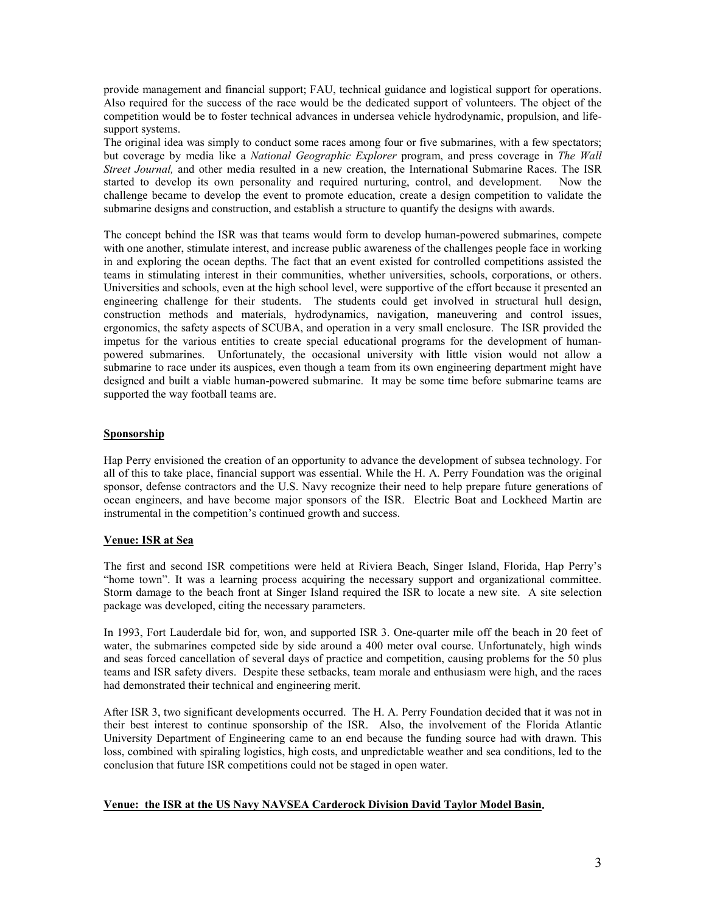provide management and financial support; FAU, technical guidance and logistical support for operations. Also required for the success of the race would be the dedicated support of volunteers. The object of the competition would be to foster technical advances in undersea vehicle hydrodynamic, propulsion, and lifesupport systems.

The original idea was simply to conduct some races among four or five submarines, with a few spectators; but coverage by media like a *National Geographic Explorer* program, and press coverage in *The Wall Street Journal,* and other media resulted in a new creation, the International Submarine Races. The ISR started to develop its own personality and required nurturing, control, and development. Now the challenge became to develop the event to promote education, create a design competition to validate the submarine designs and construction, and establish a structure to quantify the designs with awards.

The concept behind the ISR was that teams would form to develop human-powered submarines, compete with one another, stimulate interest, and increase public awareness of the challenges people face in working in and exploring the ocean depths. The fact that an event existed for controlled competitions assisted the teams in stimulating interest in their communities, whether universities, schools, corporations, or others. Universities and schools, even at the high school level, were supportive of the effort because it presented an engineering challenge for their students. The students could get involved in structural hull design, construction methods and materials, hydrodynamics, navigation, maneuvering and control issues, ergonomics, the safety aspects of SCUBA, and operation in a very small enclosure. The ISR provided the impetus for the various entities to create special educational programs for the development of humanpowered submarines. Unfortunately, the occasional university with little vision would not allow a submarine to race under its auspices, even though a team from its own engineering department might have designed and built a viable human-powered submarine. It may be some time before submarine teams are supported the way football teams are.

### **Sponsorship**

Hap Perry envisioned the creation of an opportunity to advance the development of subsea technology. For all of this to take place, financial support was essential. While the H. A. Perry Foundation was the original sponsor, defense contractors and the U.S. Navy recognize their need to help prepare future generations of ocean engineers, and have become major sponsors of the ISR. Electric Boat and Lockheed Martin are instrumental in the competition's continued growth and success.

#### **Venue: ISR at Sea**

The first and second ISR competitions were held at Riviera Beach, Singer Island, Florida, Hap Perry's "home town". It was a learning process acquiring the necessary support and organizational committee. Storm damage to the beach front at Singer Island required the ISR to locate a new site. A site selection package was developed, citing the necessary parameters.

In 1993, Fort Lauderdale bid for, won, and supported ISR 3. One-quarter mile off the beach in 20 feet of water, the submarines competed side by side around a 400 meter oval course. Unfortunately, high winds and seas forced cancellation of several days of practice and competition, causing problems for the 50 plus teams and ISR safety divers. Despite these setbacks, team morale and enthusiasm were high, and the races had demonstrated their technical and engineering merit.

After ISR 3, two significant developments occurred. The H. A. Perry Foundation decided that it was not in their best interest to continue sponsorship of the ISR. Also, the involvement of the Florida Atlantic University Department of Engineering came to an end because the funding source had with drawn. This loss, combined with spiraling logistics, high costs, and unpredictable weather and sea conditions, led to the conclusion that future ISR competitions could not be staged in open water.

#### **Venue: the ISR at the US Navy NAVSEA Carderock Division David Taylor Model Basin.**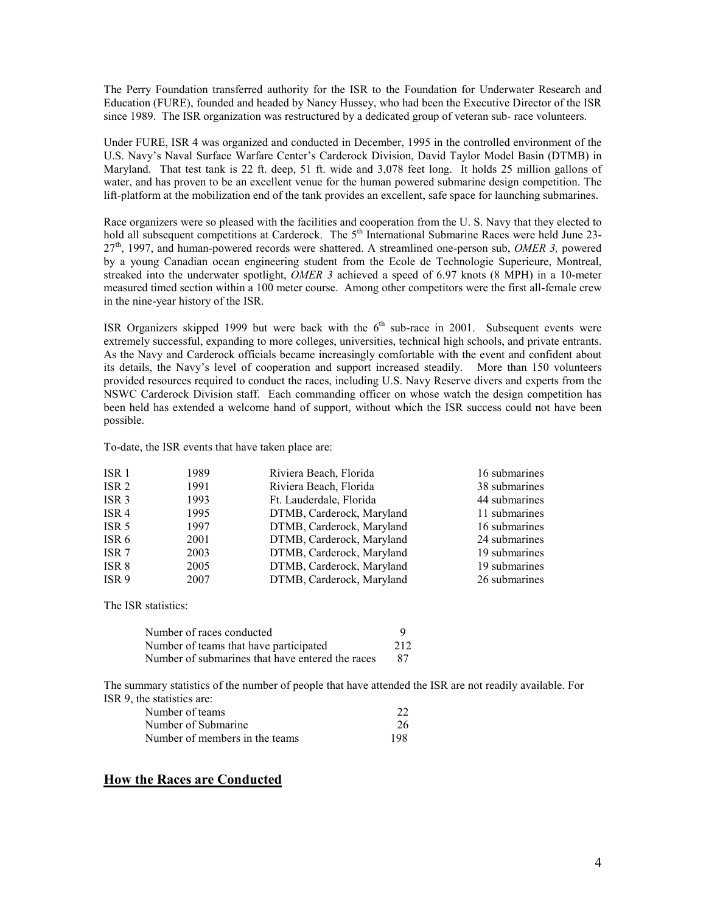The Perry Foundation transferred authority for the ISR to the Foundation for Underwater Research and Education (FURE), founded and headed by Nancy Hussey, who had been the Executive Director of the ISR since 1989. The ISR organization was restructured by a dedicated group of veteran sub- race volunteers.

Under FURE, ISR 4 was organized and conducted in December, 1995 in the controlled environment of the U.S. Navy's Naval Surface Warfare Center's Carderock Division, David Taylor Model Basin (DTMB) in Maryland. That test tank is 22 ft. deep, 51 ft. wide and 3,078 feet long. It holds 25 million gallons of water, and has proven to be an excellent venue for the human powered submarine design competition. The lift-platform at the mobilization end of the tank provides an excellent, safe space for launching submarines.

Race organizers were so pleased with the facilities and cooperation from the U. S. Navy that they elected to hold all subsequent competitions at Carderock. The 5<sup>th</sup> International Submarine Races were held June 23-27th, 1997, and human-powered records were shattered. A streamlined one-person sub, *OMER 3,* powered by a young Canadian ocean engineering student from the Ecole de Technologie Superieure, Montreal, streaked into the underwater spotlight, *OMER 3* achieved a speed of 6.97 knots (8 MPH) in a 10-meter measured timed section within a 100 meter course. Among other competitors were the first all-female crew in the nine-year history of the ISR.

ISR Organizers skipped 1999 but were back with the  $6<sup>th</sup>$  sub-race in 2001. Subsequent events were extremely successful, expanding to more colleges, universities, technical high schools, and private entrants. As the Navy and Carderock officials became increasingly comfortable with the event and confident about its details, the Navy's level of cooperation and support increased steadily. More than 150 volunteers provided resources required to conduct the races, including U.S. Navy Reserve divers and experts from the NSWC Carderock Division staff. Each commanding officer on whose watch the design competition has been held has extended a welcome hand of support, without which the ISR success could not have been possible.

To-date, the ISR events that have taken place are:

| ISR <sub>1</sub> | 1989 | Riviera Beach, Florida    | 16 submarines |
|------------------|------|---------------------------|---------------|
| ISR <sub>2</sub> | 1991 | Riviera Beach, Florida    | 38 submarines |
| ISR <sub>3</sub> | 1993 | Ft. Lauderdale, Florida   | 44 submarines |
| ISR <sub>4</sub> | 1995 | DTMB, Carderock, Maryland | 11 submarines |
| ISR <sub>5</sub> | 1997 | DTMB, Carderock, Maryland | 16 submarines |
| ISR <sub>6</sub> | 2001 | DTMB, Carderock, Maryland | 24 submarines |
| ISR <sub>7</sub> | 2003 | DTMB, Carderock, Maryland | 19 submarines |
| ISR 8            | 2005 | DTMB, Carderock, Maryland | 19 submarines |
| ISR <sub>9</sub> | 2007 | DTMB, Carderock, Maryland | 26 submarines |

The ISR statistics:

| Number of races conducted                        | 9   |
|--------------------------------------------------|-----|
| Number of teams that have participated           | 212 |
| Number of submarines that have entered the races | 87  |

The summary statistics of the number of people that have attended the ISR are not readily available. For ISR 9, the statistics are:

| Number of teams                |     |
|--------------------------------|-----|
| Number of Submarine            | 26  |
| Number of members in the teams | 198 |

## **How the Races are Conducted**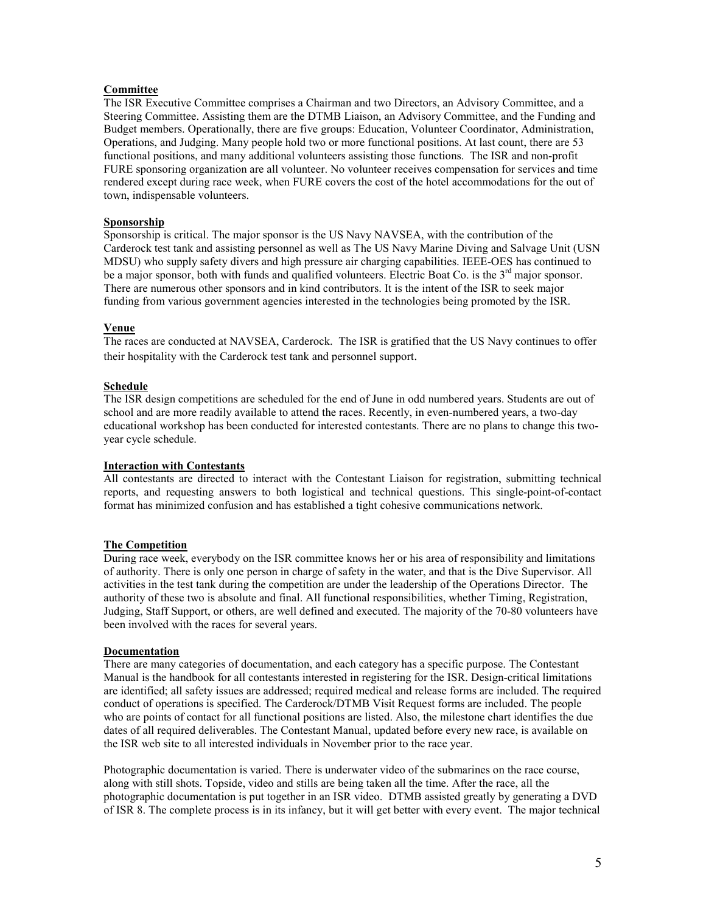## **Committee**

The ISR Executive Committee comprises a Chairman and two Directors, an Advisory Committee, and a Steering Committee. Assisting them are the DTMB Liaison, an Advisory Committee, and the Funding and Budget members. Operationally, there are five groups: Education, Volunteer Coordinator, Administration, Operations, and Judging. Many people hold two or more functional positions. At last count, there are 53 functional positions, and many additional volunteers assisting those functions. The ISR and non-profit FURE sponsoring organization are all volunteer. No volunteer receives compensation for services and time rendered except during race week, when FURE covers the cost of the hotel accommodations for the out of town, indispensable volunteers.

#### **Sponsorship**

Sponsorship is critical. The major sponsor is the US Navy NAVSEA, with the contribution of the Carderock test tank and assisting personnel as well as The US Navy Marine Diving and Salvage Unit (USN MDSU) who supply safety divers and high pressure air charging capabilities. IEEE-OES has continued to be a major sponsor, both with funds and qualified volunteers. Electric Boat Co. is the 3<sup>rd</sup> major sponsor. There are numerous other sponsors and in kind contributors. It is the intent of the ISR to seek major funding from various government agencies interested in the technologies being promoted by the ISR.

#### **Venue**

The races are conducted at NAVSEA, Carderock. The ISR is gratified that the US Navy continues to offer their hospitality with the Carderock test tank and personnel support.

#### **Schedule**

The ISR design competitions are scheduled for the end of June in odd numbered years. Students are out of school and are more readily available to attend the races. Recently, in even-numbered years, a two-day educational workshop has been conducted for interested contestants. There are no plans to change this twoyear cycle schedule.

#### **Interaction with Contestants**

All contestants are directed to interact with the Contestant Liaison for registration, submitting technical reports, and requesting answers to both logistical and technical questions. This single-point-of-contact format has minimized confusion and has established a tight cohesive communications network.

#### **The Competition**

During race week, everybody on the ISR committee knows her or his area of responsibility and limitations of authority. There is only one person in charge of safety in the water, and that is the Dive Supervisor. All activities in the test tank during the competition are under the leadership of the Operations Director. The authority of these two is absolute and final. All functional responsibilities, whether Timing, Registration, Judging, Staff Support, or others, are well defined and executed. The majority of the 70-80 volunteers have been involved with the races for several years.

#### **Documentation**

There are many categories of documentation, and each category has a specific purpose. The Contestant Manual is the handbook for all contestants interested in registering for the ISR. Design-critical limitations are identified; all safety issues are addressed; required medical and release forms are included. The required conduct of operations is specified. The Carderock/DTMB Visit Request forms are included. The people who are points of contact for all functional positions are listed. Also, the milestone chart identifies the due dates of all required deliverables. The Contestant Manual, updated before every new race, is available on the ISR web site to all interested individuals in November prior to the race year.

Photographic documentation is varied. There is underwater video of the submarines on the race course, along with still shots. Topside, video and stills are being taken all the time. After the race, all the photographic documentation is put together in an ISR video. DTMB assisted greatly by generating a DVD of ISR 8. The complete process is in its infancy, but it will get better with every event. The major technical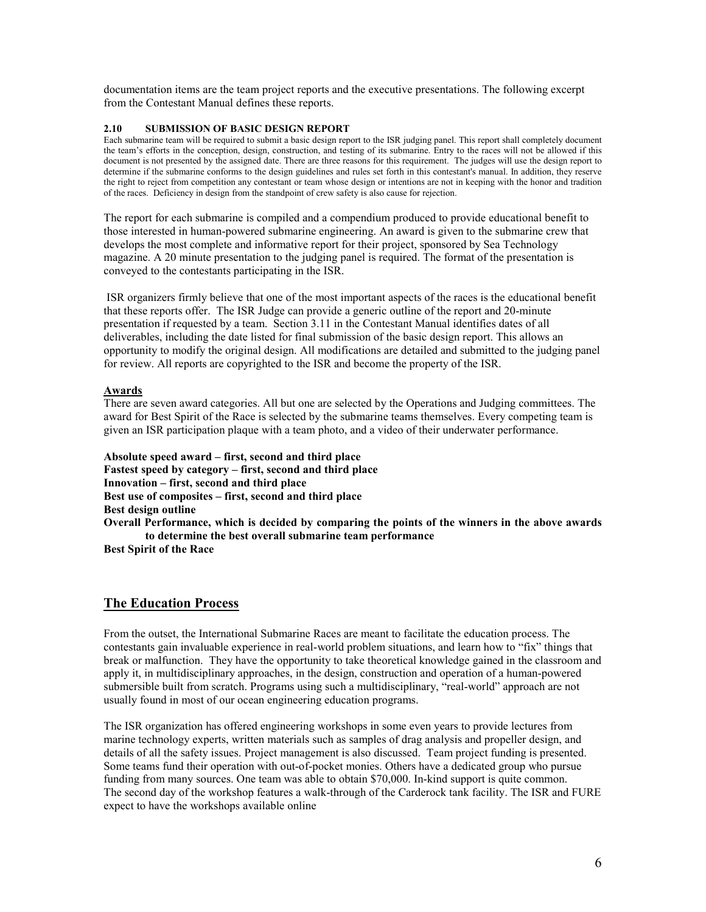documentation items are the team project reports and the executive presentations. The following excerpt from the Contestant Manual defines these reports.

#### **2.10 SUBMISSION OF BASIC DESIGN REPORT**

Each submarine team will be required to submit a basic design report to the ISR judging panel. This report shall completely document the team's efforts in the conception, design, construction, and testing of its submarine. Entry to the races will not be allowed if this document is not presented by the assigned date. There are three reasons for this requirement. The judges will use the design report to determine if the submarine conforms to the design guidelines and rules set forth in this contestant's manual. In addition, they reserve the right to reject from competition any contestant or team whose design or intentions are not in keeping with the honor and tradition of the races. Deficiency in design from the standpoint of crew safety is also cause for rejection.

The report for each submarine is compiled and a compendium produced to provide educational benefit to those interested in human-powered submarine engineering. An award is given to the submarine crew that develops the most complete and informative report for their project, sponsored by Sea Technology magazine. A 20 minute presentation to the judging panel is required. The format of the presentation is conveyed to the contestants participating in the ISR.

 ISR organizers firmly believe that one of the most important aspects of the races is the educational benefit that these reports offer. The ISR Judge can provide a generic outline of the report and 20-minute presentation if requested by a team. Section 3.11 in the Contestant Manual identifies dates of all deliverables, including the date listed for final submission of the basic design report. This allows an opportunity to modify the original design. All modifications are detailed and submitted to the judging panel for review. All reports are copyrighted to the ISR and become the property of the ISR.

#### **Awards**

There are seven award categories. All but one are selected by the Operations and Judging committees. The award for Best Spirit of the Race is selected by the submarine teams themselves. Every competing team is given an ISR participation plaque with a team photo, and a video of their underwater performance.

**Absolute speed award – first, second and third place Fastest speed by category – first, second and third place Innovation – first, second and third place Best use of composites – first, second and third place Best design outline Overall Performance, which is decided by comparing the points of the winners in the above awards to determine the best overall submarine team performance** 

**Best Spirit of the Race**

## **The Education Process**

From the outset, the International Submarine Races are meant to facilitate the education process. The contestants gain invaluable experience in real-world problem situations, and learn how to "fix" things that break or malfunction. They have the opportunity to take theoretical knowledge gained in the classroom and apply it, in multidisciplinary approaches, in the design, construction and operation of a human-powered submersible built from scratch. Programs using such a multidisciplinary, "real-world" approach are not usually found in most of our ocean engineering education programs.

The ISR organization has offered engineering workshops in some even years to provide lectures from marine technology experts, written materials such as samples of drag analysis and propeller design, and details of all the safety issues. Project management is also discussed. Team project funding is presented. Some teams fund their operation with out-of-pocket monies. Others have a dedicated group who pursue funding from many sources. One team was able to obtain \$70,000. In-kind support is quite common. The second day of the workshop features a walk-through of the Carderock tank facility. The ISR and FURE expect to have the workshops available online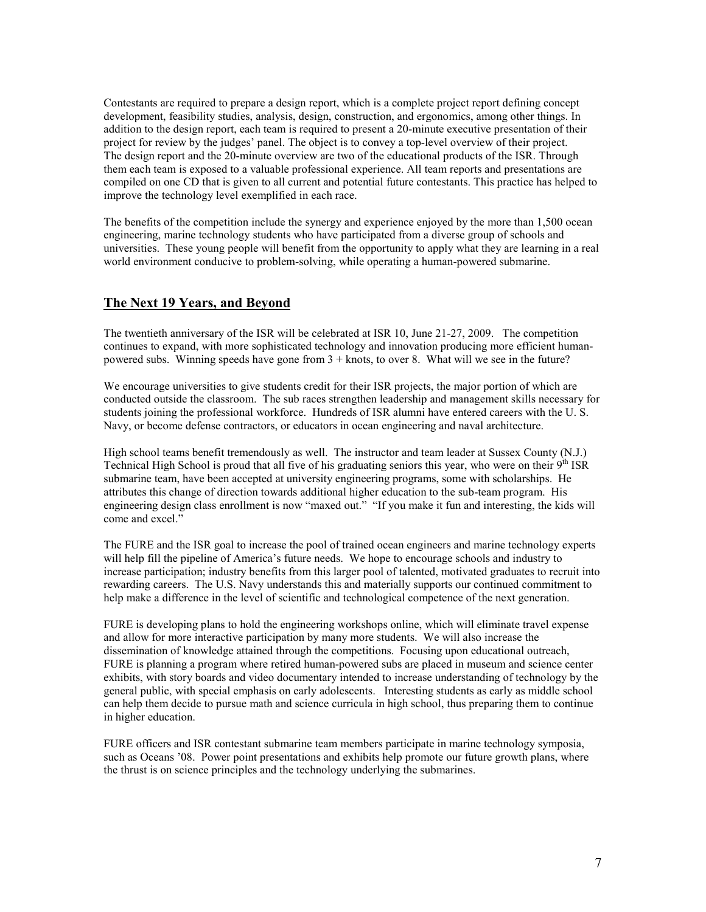Contestants are required to prepare a design report, which is a complete project report defining concept development, feasibility studies, analysis, design, construction, and ergonomics, among other things. In addition to the design report, each team is required to present a 20-minute executive presentation of their project for review by the judges' panel. The object is to convey a top-level overview of their project. The design report and the 20-minute overview are two of the educational products of the ISR. Through them each team is exposed to a valuable professional experience. All team reports and presentations are compiled on one CD that is given to all current and potential future contestants. This practice has helped to improve the technology level exemplified in each race.

The benefits of the competition include the synergy and experience enjoyed by the more than 1,500 ocean engineering, marine technology students who have participated from a diverse group of schools and universities. These young people will benefit from the opportunity to apply what they are learning in a real world environment conducive to problem-solving, while operating a human-powered submarine.

## **The Next 19 Years, and Beyond**

The twentieth anniversary of the ISR will be celebrated at ISR 10, June 21-27, 2009. The competition continues to expand, with more sophisticated technology and innovation producing more efficient humanpowered subs. Winning speeds have gone from 3 + knots, to over 8. What will we see in the future?

We encourage universities to give students credit for their ISR projects, the major portion of which are conducted outside the classroom. The sub races strengthen leadership and management skills necessary for students joining the professional workforce. Hundreds of ISR alumni have entered careers with the U. S. Navy, or become defense contractors, or educators in ocean engineering and naval architecture.

High school teams benefit tremendously as well. The instructor and team leader at Sussex County (N.J.) Technical High School is proud that all five of his graduating seniors this year, who were on their  $9<sup>th</sup> ISR$ submarine team, have been accepted at university engineering programs, some with scholarships. He attributes this change of direction towards additional higher education to the sub-team program. His engineering design class enrollment is now "maxed out." "If you make it fun and interesting, the kids will come and excel."

The FURE and the ISR goal to increase the pool of trained ocean engineers and marine technology experts will help fill the pipeline of America's future needs. We hope to encourage schools and industry to increase participation; industry benefits from this larger pool of talented, motivated graduates to recruit into rewarding careers. The U.S. Navy understands this and materially supports our continued commitment to help make a difference in the level of scientific and technological competence of the next generation.

FURE is developing plans to hold the engineering workshops online, which will eliminate travel expense and allow for more interactive participation by many more students. We will also increase the dissemination of knowledge attained through the competitions. Focusing upon educational outreach, FURE is planning a program where retired human-powered subs are placed in museum and science center exhibits, with story boards and video documentary intended to increase understanding of technology by the general public, with special emphasis on early adolescents. Interesting students as early as middle school can help them decide to pursue math and science curricula in high school, thus preparing them to continue in higher education.

FURE officers and ISR contestant submarine team members participate in marine technology symposia, such as Oceans '08. Power point presentations and exhibits help promote our future growth plans, where the thrust is on science principles and the technology underlying the submarines.